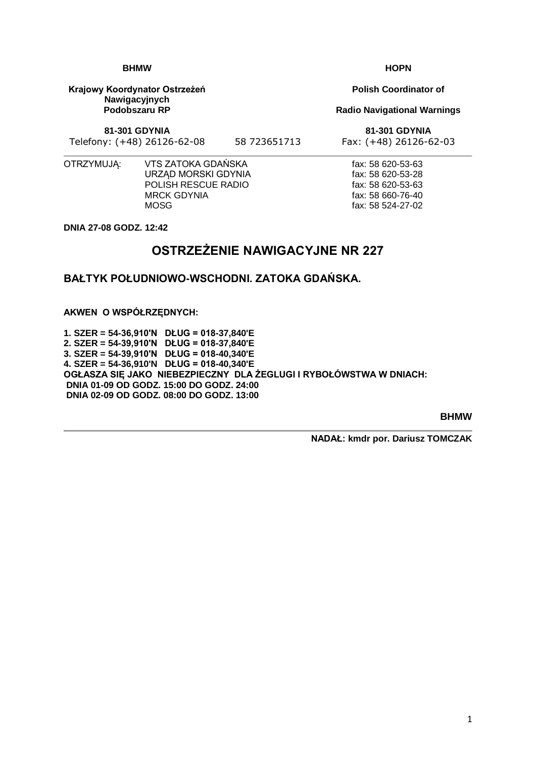1

#### **BHMW**

**Krajowy Koordynator Ostrzeżeń Nawigacyjnych Podobszaru RP**

**81-301 GDYNIA**

Telefony: (+48) 26126-62-08 58 723651713 Fax: (+48) 26126-62-03

fax: 58 620-53-63 fax: 58 620-53-28 fax: 58 620-53-63 fax: 58 660-76-40 fax: 58 524-27-02

OTRZYMUJĄ: VTS ZATOKA GDAŃSKA URZĄD MORSKI GDYNIA POLISH RESCUE RADIO MRCK GDYNIA **MOSG** 

**DNIA 27-08 GODZ. 12:42**

# **OSTRZEŻENIE NAWIGACYJNE NR 227**

**BAŁTYK POŁUDNIOWO-WSCHODNI. ZATOKA GDAŃSKA.**

**AKWEN O WSPÓŁRZĘDNYCH:**

**1. SZER = 54-36,910'N DŁUG = 018-37,840'E 2. SZER = 54-39,910'N DŁUG = 018-37,840'E 3. SZER = 54-39,910'N DŁUG = 018-40,340'E 4. SZER = 54-36,910'N DŁUG = 018-40,340'E OGŁASZA SIĘ JAKO NIEBEZPIECZNY DLA ŻEGLUGI I RYBOŁÓWSTWA W DNIACH: DNIA 01-09 OD GODZ. 15:00 DO GODZ. 24:00 DNIA 02-09 OD GODZ. 08:00 DO GODZ. 13:00**

**BHMW**

**NADAŁ: kmdr por. Dariusz TOMCZAK**

**Polish Coordinator of**

**Radio Navigational Warnings**

**81-301 GDYNIA**

**HOPN**